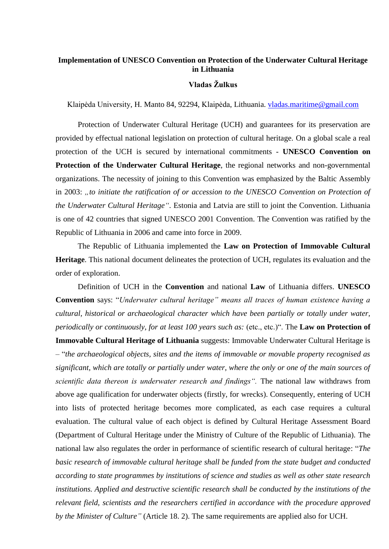## **Implementation of UNESCO Convention on Protection of the Underwater Cultural Heritage in Lithuania**

## **Vladas Žulkus**

Klaipėda University, H. Manto 84, 92294, Klaipėda, Lithuania. [vladas.maritime@gmail.com](mailto:vladas.maritime@gmail.com)

Protection of Underwater Cultural Heritage (UCH) and guarantees for its preservation are provided by effectual national legislation on protection of cultural heritage. On a global scale a real protection of the UCH is secured by international commitments - **UNESCO Convention on Protection of the Underwater Cultural Heritage**, the regional networks and non-governmental organizations. The necessity of joining to this Convention was emphasized by the Baltic Assembly in 2003: "to initiate the ratification of or accession to the UNESCO Convention on Protection of *the Underwater Cultural Heritage"*. Estonia and Latvia are still to joint the Convention. Lithuania is one of 42 countries that signed UNESCO 2001 Convention. The Convention was ratified by the Republic of Lithuania in 2006 and came into force in 2009.

The Republic of Lithuania implemented the **Law on Protection of Immovable Cultural Heritage**. This national document delineates the protection of UCH, regulates its evaluation and the order of exploration.

Definition of UCH in the **Convention** and national **Law** of Lithuania differs. **UNESCO Convention** says: "*Underwater cultural heritage" means all traces of human existence having a cultural, historical or archaeological character which have been partially or totally under water, periodically or continuously, for at least 100 years such as:* (etc., etc.)". The **Law on Protection of Immovable Cultural Heritage of Lithuania** suggests: Immovable Underwater Cultural Heritage is – "*the archaeological objects, sites and the items of immovable or movable property recognised as significant, which are totally or partially under water, where the only or one of the main sources of scientific data thereon is underwater research and findings".* The national law withdraws from above age qualification for underwater objects (firstly, for wrecks). Consequently, entering of UCH into lists of protected heritage becomes more complicated, as each case requires a cultural evaluation. The cultural value of each object is defined by Cultural Heritage Assessment Board (Department of Cultural Heritage under the Ministry of Culture of the Republic of Lithuania). The national law also regulates the order in performance of scientific research of cultural heritage: "*The basic research of immovable cultural heritage shall be funded from the state budget and conducted according to state programmes by institutions of science and studies as well as other state research institutions. Applied and destructive scientific research shall be conducted by the institutions of the relevant field, scientists and the researchers certified in accordance with the procedure approved by the Minister of Culture"* (Article 18. 2). The same requirements are applied also for UCH.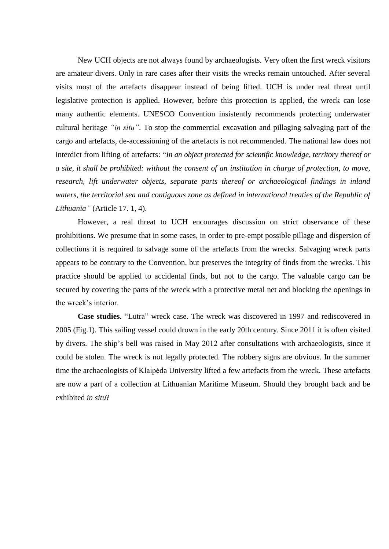New UCH objects are not always found by archaeologists. Very often the first wreck visitors are amateur divers. Only in rare cases after their visits the wrecks remain untouched. After several visits most of the artefacts disappear instead of being lifted. UCH is under real threat until legislative protection is applied. However, before this protection is applied, the wreck can lose many authentic elements. UNESCO Convention insistently recommends protecting underwater cultural heritage *"in situ"*. To stop the commercial excavation and pillaging salvaging part of the cargo and artefacts, de-accessioning of the artefacts is not recommended. The national law does not interdict from lifting of artefacts: "*In an object protected for scientific knowledge, territory thereof or a site, it shall be prohibited: without the consent of an institution in charge of protection, to move, research, lift underwater objects, separate parts thereof or archaeological findings in inland*  waters, the territorial sea and contiguous zone as defined in international treaties of the Republic of *Lithuania"* (Article 17. 1, 4).

However, a real threat to UCH encourages discussion on strict observance of these prohibitions. We presume that in some cases, in order to pre-empt possible pillage and dispersion of collections it is required to salvage some of the artefacts from the wrecks. Salvaging wreck parts appears to be contrary to the Convention, but preserves the integrity of finds from the wrecks. This practice should be applied to accidental finds, but not to the cargo. The valuable cargo can be secured by covering the parts of the wreck with a protective metal net and blocking the openings in the wreck's interior.

**Case studies.** "Lutra" wreck case. The wreck was discovered in 1997 and rediscovered in 2005 (Fig.1). This sailing vessel could drown in the early 20th century. Since 2011 it is often visited by divers. The ship's bell was raised in May 2012 after consultations with archaeologists, since it could be stolen. The wreck is not legally protected. The robbery signs are obvious. In the summer time the archaeologists of Klaipėda University lifted a few artefacts from the wreck. These artefacts are now a part of a collection at Lithuanian Maritime Museum. Should they brought back and be exhibited *in situ*?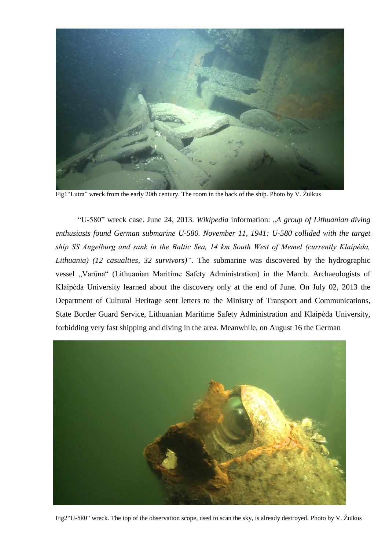

Fig1"Lutra" wreck from the early 20th century. The room in the back of the ship. Photo by V. Žulkus

"U-580" wreck case. June 24, 2013. *Wikipedia* information: "*A group of Lithuanian diving enthusiasts found German submarine U-580. November 11, 1941: U-580 collided with the target ship SS Angelburg and sank in the Baltic Sea, 14 km South West of Memel (currently Klaipėda, Lithuania) (12 casualties, 32 survivors)".* The submarine was discovered by the hydrographic vessel "Varūna" (Lithuanian Maritime Safety Administration) in the March. Archaeologists of Klaipėda University learned about the discovery only at the end of June. On July 02, 2013 the Department of Cultural Heritage sent letters to the Ministry of Transport and Communications, State Border Guard Service, Lithuanian Maritime Safety Administration and Klaipėda University, forbidding very fast shipping and diving in the area. Meanwhile, on August 16 the German



Fig2"U-580" wreck. The top of the observation scope, used to scan the sky, is already destroyed. Photo by V. Žulkus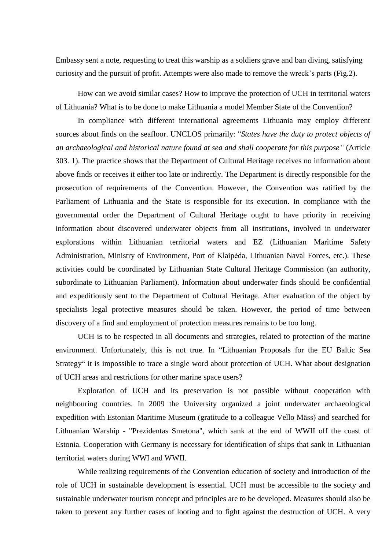Embassy sent a note, requesting to treat this warship as a soldiers grave and ban diving, satisfying curiosity and the pursuit of profit. Attempts were also made to remove the wreck's parts (Fig.2).

How can we avoid similar cases? How to improve the protection of UCH in territorial waters of Lithuania? What is to be done to make Lithuania a model Member State of the Convention?

In compliance with different international agreements Lithuania may employ different sources about finds on the seafloor. UNCLOS primarily: "*States have the duty to protect objects of an archaeological and historical nature found at sea and shall cooperate for this purpose"* (Article 303. 1). The practice shows that the Department of Cultural Heritage receives no information about above finds or receives it either too late or indirectly. The Department is directly responsible for the prosecution of requirements of the Convention. However, the Convention was ratified by the Parliament of Lithuania and the State is responsible for its execution. In compliance with the governmental order the Department of Cultural Heritage ought to have priority in receiving information about discovered underwater objects from all institutions, involved in underwater explorations within Lithuanian territorial waters and EZ (Lithuanian Maritime Safety Administration, Ministry of Environment, Port of Klaipėda, Lithuanian Naval Forces, etc.). These activities could be coordinated by Lithuanian State Cultural Heritage Commission (an authority, subordinate to Lithuanian Parliament). Information about underwater finds should be confidential and expeditiously sent to the Department of Cultural Heritage. After evaluation of the object by specialists legal protective measures should be taken. However, the period of time between discovery of a find and employment of protection measures remains to be too long.

UCH is to be respected in all documents and strategies, related to protection of the marine environment. Unfortunately, this is not true. In "Lithuanian Proposals for the EU Baltic Sea Strategy" it is impossible to trace a single word about protection of UCH. What about designation of UCH areas and restrictions for other marine space users?

Exploration of UCH and its preservation is not possible without cooperation with neighbouring countries. In 2009 the University organized a joint underwater archaeological expedition with Estonian Maritime Museum (gratitude to a colleague Vello Mäss) and searched for Lithuanian Warship - "Prezidentas Smetona", which sank at the end of WWII off the coast of Estonia. Cooperation with Germany is necessary for identification of ships that sank in Lithuanian territorial waters during WWI and WWII.

While realizing requirements of the Convention education of society and introduction of the role of UCH in sustainable development is essential. UCH must be accessible to the society and sustainable underwater tourism concept and principles are to be developed. Measures should also be taken to prevent any further cases of looting and to fight against the destruction of UCH. A very